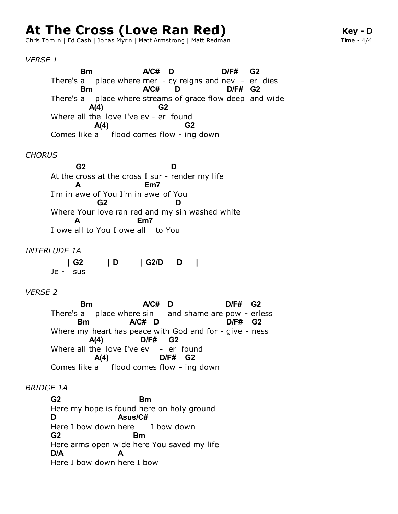# **At The Cross (Love Ran Red)**

Chris Tomlin | Ed Cash | Jonas Myrin | Matt Armstrong | Matt Redman

## *VERSE 1*

There's a place where mer - cy reigns and nev - er dies There's a place where streams of grace flow deep and wide Where all the love I've ev - er found Comes like a flood comes flow - ing down **Bm A/C# D D/F# G2 Bm A/C# D D/F# G2 A(4) G2 A(4) G2**

# *CHORUS*

At the cross at the cross I sur - render my life I'm in awe of You I'm in awe of You Where Your love ran red and my sin washed white I owe all to You I owe all to You **G2 D A Em7 G2 D A Em7**

#### *INTERLUDE 1A*

Je - sus **| G2 | D | G2/D D |**

#### *VERSE 2*

There's a place where sin and shame are pow - erless Where my heart has peace with God and for - give - ness Where all the love I've ev - er found Comes like a flood comes flow - ing down **Bm A/C# D D/F# G2 Bm A/C# D D/F# G2 A(4) D/F# G2 A(4) D/F# G2**

#### *BRIDGE 1A*

Here my hope is found here on holy ground Here I bow down here I bow down Here arms open wide here You saved my life Here I bow down here I bow **G2 Bm D Asus/C# G2 Bm D/A A**